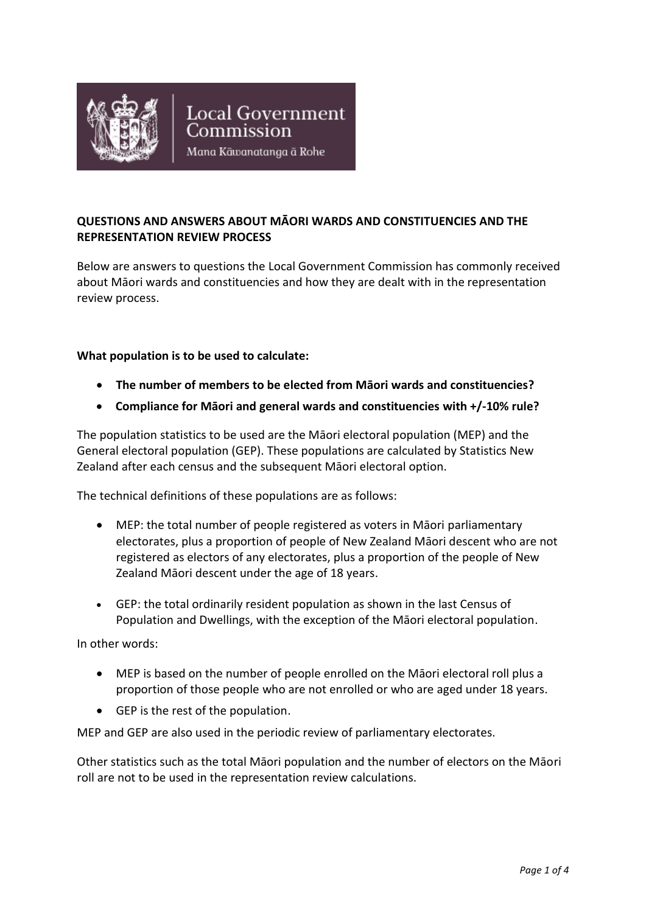

# **QUESTIONS AND ANSWERS ABOUT MĀORI WARDS AND CONSTITUENCIES AND THE REPRESENTATION REVIEW PROCESS**

Below are answers to questions the Local Government Commission has commonly received about Māori wards and constituencies and how they are dealt with in the representation review process.

#### **What population is to be used to calculate:**

- **The number of members to be elected from Māori wards and constituencies?**
- **Compliance for Māori and general wards and constituencies with +/-10% rule?**

The population statistics to be used are the Māori electoral population (MEP) and the General electoral population (GEP). These populations are calculated by Statistics New Zealand after each census and the subsequent Māori electoral option.

The technical definitions of these populations are as follows:

- MEP: the total number of people registered as voters in Māori parliamentary electorates, plus a proportion of people of New Zealand Māori descent who are not registered as electors of any electorates, plus a proportion of the people of New Zealand Māori descent under the age of 18 years.
- GEP: the total ordinarily resident population as shown in the last Census of Population and Dwellings, with the exception of the Māori electoral population.

In other words:

- MEP is based on the number of people enrolled on the Māori electoral roll plus a proportion of those people who are not enrolled or who are aged under 18 years.
- GEP is the rest of the population.

MEP and GEP are also used in the periodic review of parliamentary electorates.

Other statistics such as the total Māori population and the number of electors on the Māori roll are not to be used in the representation review calculations.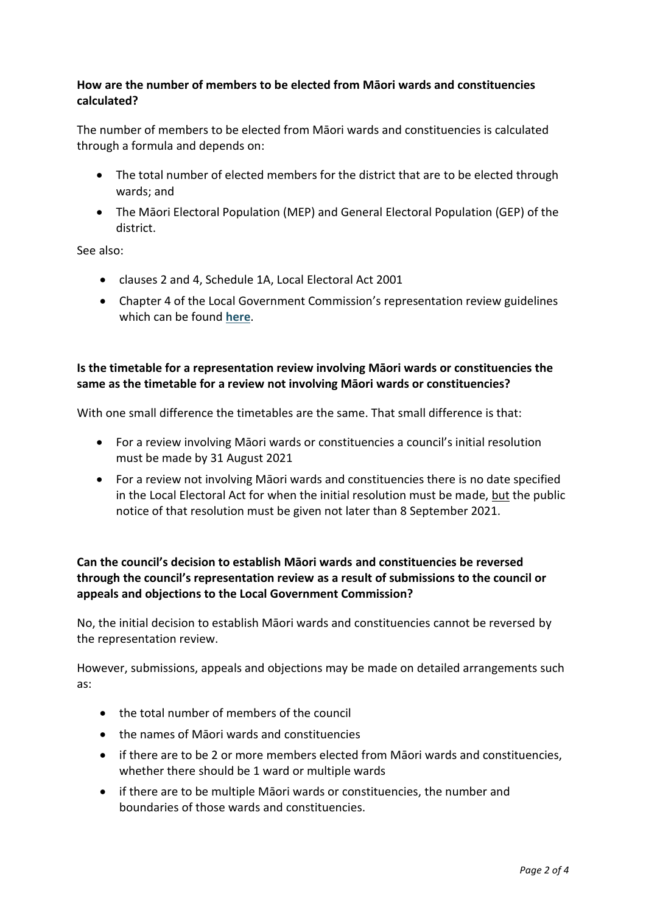### **How are the number of members to be elected from Māori wards and constituencies calculated?**

The number of members to be elected from Māori wards and constituencies is calculated through a formula and depends on:

- The total number of elected members for the district that are to be elected through wards; and
- The Māori Electoral Population (MEP) and General Electoral Population (GEP) of the district.

See also:

- clauses 2 and 4, Schedule 1A, Local Electoral Act 2001
- Chapter 4 of the Local Government Commission's representation review guidelines which can be found **[here](http://lgc.govt.nz/assets/Representation-Reviews/Representation-Review-Guidelines-2021.pdf)**.

#### **Is the timetable for a representation review involving Māori wards or constituencies the same as the timetable for a review not involving Māori wards or constituencies?**

With one small difference the timetables are the same. That small difference is that:

- For a review involving Māori wards or constituencies a council's initial resolution must be made by 31 August 2021
- For a review not involving Māori wards and constituencies there is no date specified in the Local Electoral Act for when the initial resolution must be made, but the public notice of that resolution must be given not later than 8 September 2021.

# **Can the council's decision to establish Māori wards and constituencies be reversed through the council's representation review as a result of submissions to the council or appeals and objections to the Local Government Commission?**

No, the initial decision to establish Māori wards and constituencies cannot be reversed by the representation review.

However, submissions, appeals and objections may be made on detailed arrangements such as:

- the total number of members of the council
- the names of Māori wards and constituencies
- if there are to be 2 or more members elected from Māori wards and constituencies, whether there should be 1 ward or multiple wards
- if there are to be multiple Māori wards or constituencies, the number and boundaries of those wards and constituencies.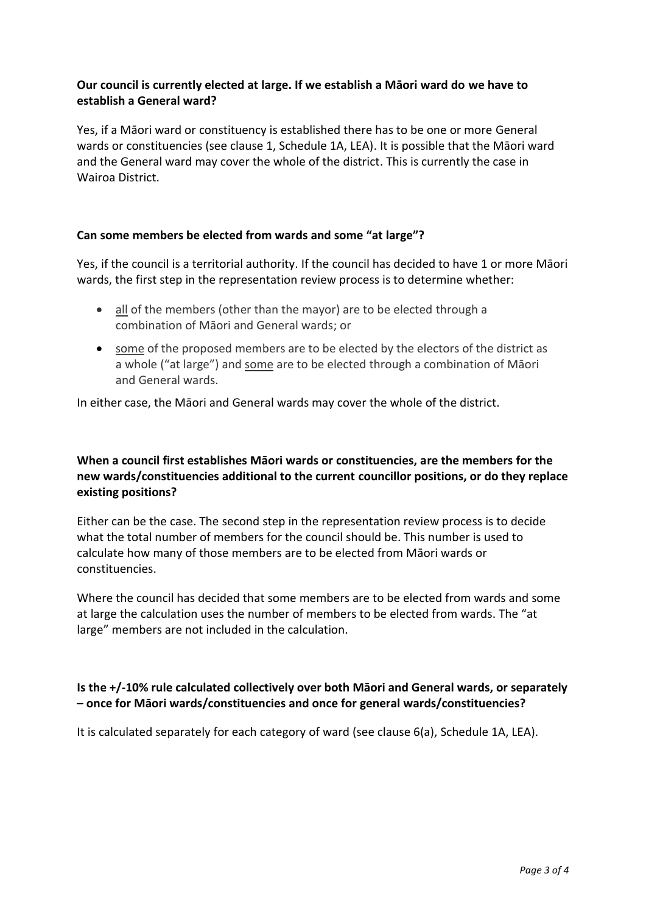#### **Our council is currently elected at large. If we establish a Māori ward do we have to establish a General ward?**

Yes, if a Māori ward or constituency is established there has to be one or more General wards or constituencies (see clause 1, Schedule 1A, LEA). It is possible that the Māori ward and the General ward may cover the whole of the district. This is currently the case in Wairoa District.

#### **Can some members be elected from wards and some "at large"?**

Yes, if the council is a territorial authority. If the council has decided to have 1 or more Māori wards, the first step in the representation review process is to determine whether:

- all of the members (other than the mayor) are to be elected through a combination of Māori and General wards; or
- some of the proposed members are to be elected by the electors of the district as a whole ("at large") and some are to be elected through a combination of Māori and General wards.

In either case, the Māori and General wards may cover the whole of the district.

### **When a council first establishes Māori wards or constituencies, are the members for the new wards/constituencies additional to the current councillor positions, or do they replace existing positions?**

Either can be the case. The second step in the representation review process is to decide what the total number of members for the council should be. This number is used to calculate how many of those members are to be elected from Māori wards or constituencies.

Where the council has decided that some members are to be elected from wards and some at large the calculation uses the number of members to be elected from wards. The "at large" members are not included in the calculation.

## **Is the +/-10% rule calculated collectively over both Māori and General wards, or separately – once for Māori wards/constituencies and once for general wards/constituencies?**

It is calculated separately for each category of ward (see clause 6(a), Schedule 1A, LEA).